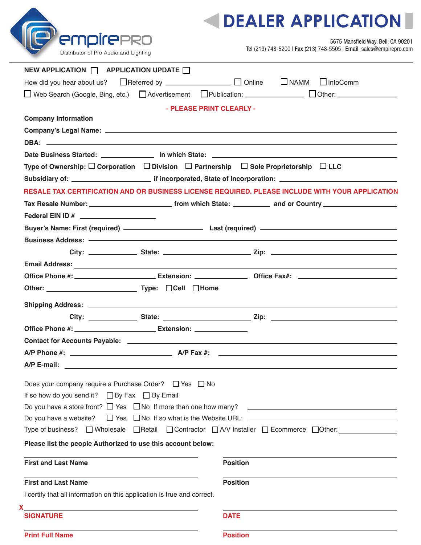

## **DEALER APPLICATION**

5675 Mansfield Way, Bell, CA 90201 Tel (213) 748-5200 | Fax (213) 748-5505 | Email sales@empirepro.com

| Distributor of Pro Audio and Lighting |  |  |  |  |
|---------------------------------------|--|--|--|--|
|---------------------------------------|--|--|--|--|

**NEW APPLICATION**  $\Box$  **APPLICATION UPDATE**  $\Box$ 

| How did you hear about us? Areferred by <b>COMILLACCOM</b> Durine                                                                                                                                                             |                          | NAMM InfoComm                                                                                       |
|-------------------------------------------------------------------------------------------------------------------------------------------------------------------------------------------------------------------------------|--------------------------|-----------------------------------------------------------------------------------------------------|
|                                                                                                                                                                                                                               |                          | □ Web Search (Google, Bing, etc.) □ Advertisement □ Publication: ____________ □ Other: ____________ |
|                                                                                                                                                                                                                               | - PLEASE PRINT CLEARLY - |                                                                                                     |
| <b>Company Information</b>                                                                                                                                                                                                    |                          |                                                                                                     |
|                                                                                                                                                                                                                               |                          |                                                                                                     |
|                                                                                                                                                                                                                               |                          |                                                                                                     |
|                                                                                                                                                                                                                               |                          |                                                                                                     |
| Type of Ownership: $\Box$ Corporation $\Box$ Division $\Box$ Partnership $\Box$ Sole Proprietorship $\Box$ LLC                                                                                                                |                          |                                                                                                     |
|                                                                                                                                                                                                                               |                          |                                                                                                     |
|                                                                                                                                                                                                                               |                          | RESALE TAX CERTIFICATION AND OR BUSINESS LICENSE REQUIRED. PLEASE INCLUDE WITH YOUR APPLICATION     |
|                                                                                                                                                                                                                               |                          |                                                                                                     |
|                                                                                                                                                                                                                               |                          |                                                                                                     |
|                                                                                                                                                                                                                               |                          |                                                                                                     |
|                                                                                                                                                                                                                               |                          |                                                                                                     |
|                                                                                                                                                                                                                               |                          |                                                                                                     |
|                                                                                                                                                                                                                               |                          |                                                                                                     |
|                                                                                                                                                                                                                               |                          |                                                                                                     |
| Other: 1990 Other: 2000 Million 2010 Mome 2010 Mome 2010 Mome 2010 Mome 2010 Mome 2010 Mome 2010 Mome 2010 Mome 2010 Mome 2010 Mome 2010 Mome 2010 Mome 2010 Mome 2010 Mome 2010 Mome 2010 Mome 2010 Mome 2010 Mome 2010 Mome |                          |                                                                                                     |
|                                                                                                                                                                                                                               |                          |                                                                                                     |
|                                                                                                                                                                                                                               |                          |                                                                                                     |
|                                                                                                                                                                                                                               |                          |                                                                                                     |
|                                                                                                                                                                                                                               |                          |                                                                                                     |
|                                                                                                                                                                                                                               |                          |                                                                                                     |
|                                                                                                                                                                                                                               |                          |                                                                                                     |
| Does your company require a Purchase Order? $\Box$ Yes $\Box$ No                                                                                                                                                              |                          |                                                                                                     |
| If so how do you send it? $\Box$ By Fax $\Box$ By Email                                                                                                                                                                       |                          |                                                                                                     |
|                                                                                                                                                                                                                               |                          | Do you have a store front? $\Box$ Yes $\Box$ No If more than one how many? $\Box$                   |
|                                                                                                                                                                                                                               |                          | Do you have a website? $\Box$ Yes $\Box$ No If so what is the Website URL: $\Box$                   |
|                                                                                                                                                                                                                               |                          | Type of business? □ Wholesale □ Retail □ Contractor □ A/V Installer □ Ecommerce □ Other: __________ |
| Please list the people Authorized to use this account below:                                                                                                                                                                  |                          |                                                                                                     |
|                                                                                                                                                                                                                               |                          |                                                                                                     |
| <b>First and Last Name</b>                                                                                                                                                                                                    | <b>Position</b>          |                                                                                                     |
| <b>First and Last Name</b>                                                                                                                                                                                                    | <b>Position</b>          |                                                                                                     |
| I certify that all information on this application is true and correct.                                                                                                                                                       |                          |                                                                                                     |
|                                                                                                                                                                                                                               |                          |                                                                                                     |

**Print Full Name Position** 

**X**

**SIGNATURE DATE**